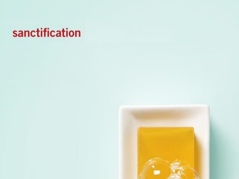### sanctification

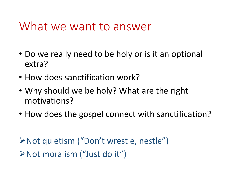#### What we want to answer

- Do we really need to be holy or is it an optional extra?
- How does sanctification work?
- Why should we be holy? What are the right motivations?
- How does the gospel connect with sanctification?

Not quietism ("Don't wrestle, nestle") Not moralism ("Just do it")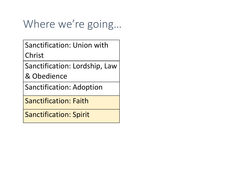### Where we're going…

Sanctification: Union with Christ

Sanctification: Lordship, Law

& Obedience

Sanctification: Adoption

Sanctification: Faith

Sanctification: Spirit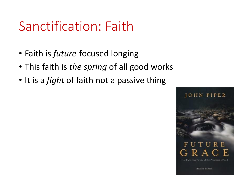## Sanctification: Faith

- Faith is *future*-focused longing
- This faith is *the spring* of all good works
- It is a *fight* of faith not a passive thing

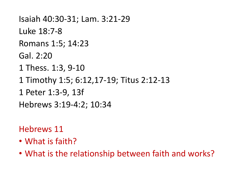```
Isaiah 40:30-31; Lam. 3:21-29
Luke 18:7-8
Romans 1:5; 14:23
Gal. 2:20
1 Thess. 1:3, 9-10
1 Timothy 1:5; 6:12,17-19; Titus 2:12-13
1 Peter 1:3-9, 13f
Hebrews 3:19-4:2; 10:34
```
Hebrews 11

- What is faith?
- What is the relationship between faith and works?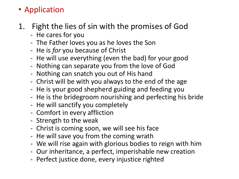#### • Application

- 1. Fight the lies of sin with the promises of God
	- He cares for you
	- The Father loves you as he loves the Son
	- He is *for* you because of Christ
	- He will use everything (even the bad) for your good
	- Nothing can separate you from the love of God
	- Nothing can snatch you out of His hand
	- Christ will be with you always to the end of the age
	- He is your good shepherd guiding and feeding you
	- He is the bridegroom nourishing and perfecting his bride
	- He will sanctify you completely
	- Comfort in every affliction
	- Strength to the weak
	- Christ is coming soon, we will see his face
	- He will save you from the coming wrath
	- We will rise again with glorious bodies to reign with him
	- Our inheritance, a perfect, imperishable new creation
	- Perfect justice done, every injustice righted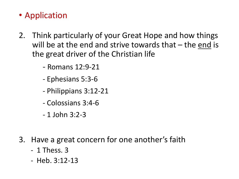#### • Application

- 2. Think particularly of your Great Hope and how things will be at the end and strive towards that – the end is the great driver of the Christian life
	- Romans 12:9-21
	- Ephesians 5:3-6
	- Philippians 3:12-21
	- Colossians 3:4-6
	- 1 John 3:2-3
- 3. Have a great concern for one another's faith
	- 1 Thess. 3
	- Heb. 3:12-13